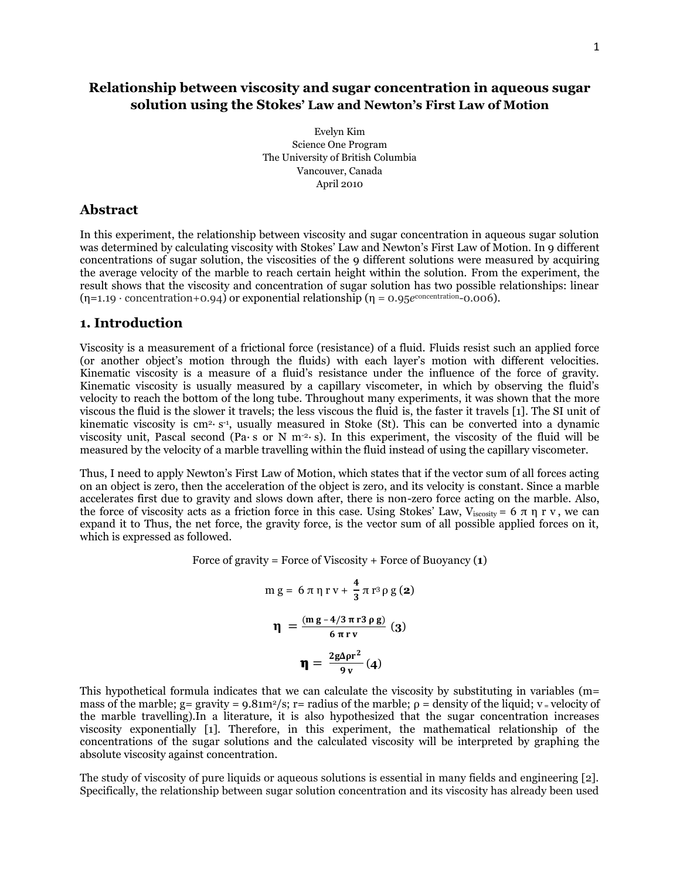# **Relationship between viscosity and sugar concentration in aqueous sugar solution using the Stokes' Law and Newton's First Law of Motion**

Evelyn Kim Science One Program The University of British Columbia Vancouver, Canada April 2010

# **Abstract**

In this experiment, the relationship between viscosity and sugar concentration in aqueous sugar solution was determined by calculating viscosity with Stokes' Law and Newton's First Law of Motion. In 9 different concentrations of sugar solution, the viscosities of the 9 different solutions were measured by acquiring the average velocity of the marble to reach certain height within the solution. From the experiment, the result shows that the viscosity and concentration of sugar solution has two possible relationships: linear  $(\eta=1.19 \cdot \text{concentration}+0.94)$  or exponential relationship  $(\eta = 0.95e^{\text{concentration}}-0.006)$ .

# **1. Introduction**

Viscosity is a measurement of a frictional force (resistance) of a fluid. Fluids resist such an applied force (or another object's motion through the fluids) with each layer's motion with different velocities. Kinematic viscosity is a measure of a fluid's resistance under the influence of the force of gravity. Kinematic viscosity is usually measured by a capillary viscometer, in which by observing the fluid's velocity to reach the bottom of the long tube. Throughout many experiments, it was shown that the more viscous the fluid is the slower it travels; the less viscous the fluid is, the faster it travels [1]. The SI unit of kinematic viscosity is cm<sup>2</sup>⋅ s<sup>-1</sup>, usually measured in Stoke (St). This can be converted into a dynamic viscosity unit, Pascal second (Pa∙ s or N m-2∙ s). In this experiment, the viscosity of the fluid will be measured by the velocity of a marble travelling within the fluid instead of using the capillary viscometer.

Thus, I need to apply Newton's First Law of Motion, which states that if the vector sum of all forces acting on an object is zero, then the acceleration of the object is zero, and its velocity is constant. Since a marble accelerates first due to gravity and slows down after, there is non-zero force acting on the marble. Also, the force of viscosity acts as a friction force in this case. Using Stokes' Law, V<sub>iscosity</sub> = 6 π η r v, we can expand it to Thus, the net force, the gravity force, is the vector sum of all possible applied forces on it, which is expressed as followed.

Force of gravity = Force of Viscosity + Force of Buoyancy (**1**)

$$
m g = 6 \pi \eta r v + \frac{4}{3} \pi r^3 \rho g (2)
$$

$$
\eta = \frac{(m g - 4/3 \pi r^3 \rho g)}{6 \pi r v} (3)
$$

$$
\eta = \frac{2g\Delta \rho r^2}{9v} (4)
$$

This hypothetical formula indicates that we can calculate the viscosity by substituting in variables (m= mass of the marble; g= gravity =  $9.81m^2/s$ ; r= radius of the marble;  $\rho$  = density of the liquid; v = velocity of the marble travelling).In a literature, it is also hypothesized that the sugar concentration increases viscosity exponentially [1]. Therefore, in this experiment, the mathematical relationship of the concentrations of the sugar solutions and the calculated viscosity will be interpreted by graphing the absolute viscosity against concentration.

The study of viscosity of pure liquids or aqueous solutions is essential in many fields and engineering [2]. Specifically, the relationship between sugar solution concentration and its viscosity has already been used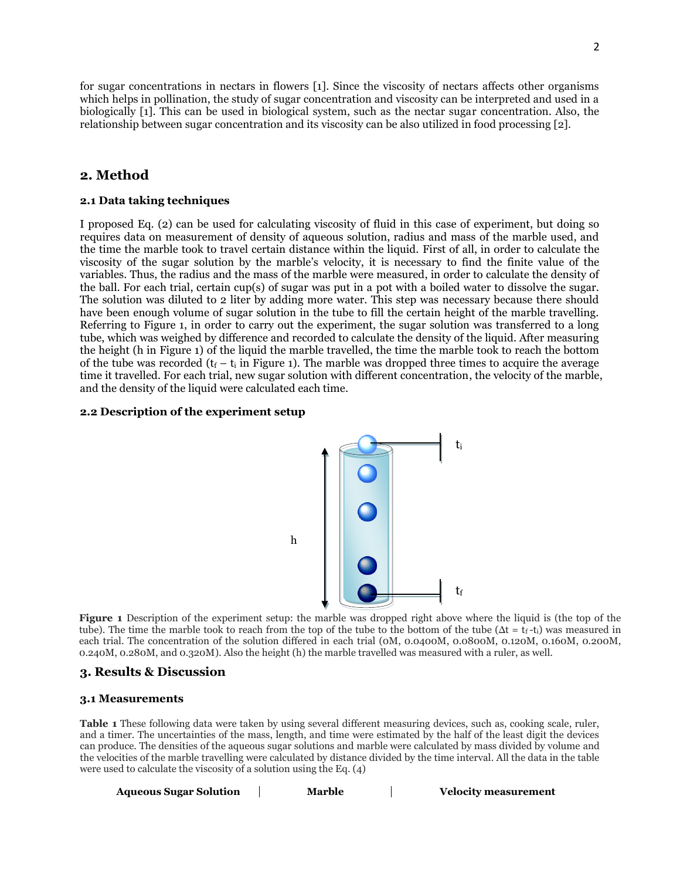for sugar concentrations in nectars in flowers [1]. Since the viscosity of nectars affects other organisms which helps in pollination, the study of sugar concentration and viscosity can be interpreted and used in a biologically [1]. This can be used in biological system, such as the nectar sugar concentration. Also, the relationship between sugar concentration and its viscosity can be also utilized in food processing [2].

# **2. Method**

### **2.1 Data taking techniques**

I proposed Eq. (2) can be used for calculating viscosity of fluid in this case of experiment, but doing so requires data on measurement of density of aqueous solution, radius and mass of the marble used, and the time the marble took to travel certain distance within the liquid. First of all, in order to calculate the viscosity of the sugar solution by the marble's velocity, it is necessary to find the finite value of the variables. Thus, the radius and the mass of the marble were measured, in order to calculate the density of the ball. For each trial, certain cup(s) of sugar was put in a pot with a boiled water to dissolve the sugar. The solution was diluted to 2 liter by adding more water. This step was necessary because there should have been enough volume of sugar solution in the tube to fill the certain height of the marble travelling. Referring to Figure 1, in order to carry out the experiment, the sugar solution was transferred to a long tube, which was weighed by difference and recorded to calculate the density of the liquid. After measuring the height (h in Figure 1) of the liquid the marble travelled, the time the marble took to reach the bottom of the tube was recorded ( $t_f - t_i$  in Figure 1). The marble was dropped three times to acquire the average time it travelled. For each trial, new sugar solution with different concentration, the velocity of the marble, and the density of the liquid were calculated each time.

#### **2.2 Description of the experiment setup**



**Figure 1** Description of the experiment setup: the marble was dropped right above where the liquid is (the top of the tube). The time the marble took to reach from the top of the tube to the bottom of the tube ( $Δt = t_f-t_i$ ) was measured in each trial. The concentration of the solution differed in each trial (0M, 0.0400M, 0.0800M, 0.120M, 0.160M, 0.200M, 0.240M, 0.280M, and 0.320M). Also the height (h) the marble travelled was measured with a ruler, as well.

### **3. Results & Discussion**

#### **3.1 Measurements**

**Table 1** These following data were taken by using several different measuring devices, such as, cooking scale, ruler, and a timer. The uncertainties of the mass, length, and time were estimated by the half of the least digit the devices can produce. The densities of the aqueous sugar solutions and marble were calculated by mass divided by volume and the velocities of the marble travelling were calculated by distance divided by the time interval. All the data in the table were used to calculate the viscosity of a solution using the Eq. (4)

| <b>Aqueous Sugar Solution</b> | Marble | <b>Velocity measurement</b> |
|-------------------------------|--------|-----------------------------|
|-------------------------------|--------|-----------------------------|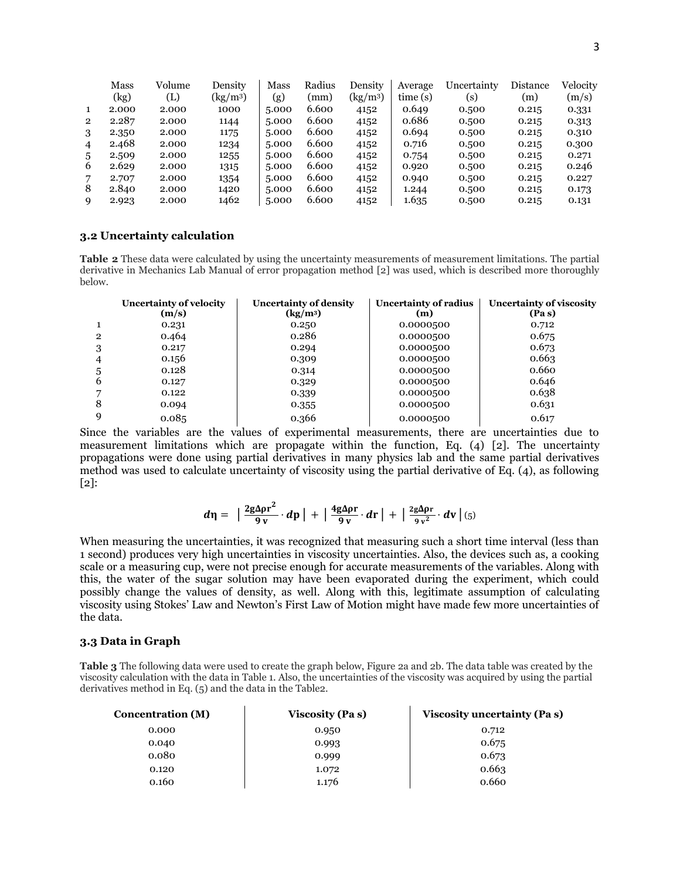|                | Mass  | Volume | Density                     | Mass  | Radius | Density              | Average | Uncertainty | Distance | Velocity |
|----------------|-------|--------|-----------------------------|-------|--------|----------------------|---------|-------------|----------|----------|
|                | (kg)  | (L)    | $\left({\rm kg/m^3}\right)$ | (g)   | (mm)   | (kg/m <sup>3</sup> ) | time(s) | (s)         | (m)      | (m/s)    |
| 1              | 2.000 | 2.000  | 1000                        | 5.000 | 6.600  | 4152                 | 0.649   | 0.500       | 0.215    | 0.331    |
| $\overline{2}$ | 2.287 | 2.000  | 1144                        | 5.000 | 6.600  | 4152                 | 0.686   | 0.500       | 0.215    | 0.313    |
| 3              | 2.350 | 2.000  | 1175                        | 5.000 | 6.600  | 4152                 | 0.694   | 0.500       | 0.215    | 0.310    |
| 4              | 2.468 | 2.000  | 1234                        | 5.000 | 6.600  | 4152                 | 0.716   | 0.500       | 0.215    | 0.300    |
| 5              | 2.509 | 2.000  | 1255                        | 5.000 | 6.600  | 4152                 | 0.754   | 0.500       | 0.215    | 0.271    |
| 6              | 2.629 | 2.000  | 1315                        | 5.000 | 6.600  | 4152                 | 0.920   | 0.500       | 0.215    | 0.246    |
| 7              | 2.707 | 2.000  | 1354                        | 5.000 | 6.600  | 4152                 | 0.940   | 0.500       | 0.215    | 0.227    |
| 8              | 2.840 | 2.000  | 1420                        | 5.000 | 6.600  | 4152                 | 1.244   | 0.500       | 0.215    | 0.173    |
| 9              | 2.923 | 2.000  | 1462                        | 5.000 | 6.600  | 4152                 | 1.635   | 0.500       | 0.215    | 0.131    |

### **3.2 Uncertainty calculation**

**Table 2** These data were calculated by using the uncertainty measurements of measurement limitations. The partial derivative in Mechanics Lab Manual of error propagation method [2] was used, which is described more thoroughly below.

|              | <b>Uncertainty of velocity</b><br>(m/s) | <b>Uncertainty of density</b><br>$\left({\rm kg/m^3}\right)$ | Uncertainty of radius<br>(m) | Uncertainty of viscosity<br>(Pa s) |
|--------------|-----------------------------------------|--------------------------------------------------------------|------------------------------|------------------------------------|
|              | 0.231                                   | 0.250                                                        | 0.0000500                    | 0.712                              |
| $\mathbf{2}$ | 0.464                                   | 0.286                                                        | 0.0000500                    | 0.675                              |
| 3            | 0.217                                   | 0.294                                                        | 0.0000500                    | 0.673                              |
| 4            | 0.156                                   | 0.309                                                        | 0.0000500                    | 0.663                              |
| 5            | 0.128                                   | 0.314                                                        | 0.0000500                    | 0.660                              |
| 6            | 0.127                                   | 0.329                                                        | 0.0000500                    | 0.646                              |
|              | 0.122                                   | 0.339                                                        | 0.0000500                    | 0.638                              |
| 8            | 0.094                                   | 0.355                                                        | 0.0000500                    | 0.631                              |
| 9            | 0.085                                   | 0.366                                                        | 0.0000500                    | 0.617                              |

Since the variables are the values of experimental measurements, there are uncertainties due to measurement limitations which are propagate within the function, Eq. (4) [2]. The uncertainty propagations were done using partial derivatives in many physics lab and the same partial derivatives method was used to calculate uncertainty of viscosity using the partial derivative of Eq. (4), as following [2]:

$$
d\eta = \left| \frac{2g\Delta\rho r^2}{9v} \cdot dp \right| + \left| \frac{4g\Delta\rho r}{9v} \cdot dr \right| + \left| \frac{2g\Delta\rho r}{9v^2} \cdot dv \right|_{(5)}
$$

When measuring the uncertainties, it was recognized that measuring such a short time interval (less than 1 second) produces very high uncertainties in viscosity uncertainties. Also, the devices such as, a cooking scale or a measuring cup, were not precise enough for accurate measurements of the variables. Along with this, the water of the sugar solution may have been evaporated during the experiment, which could possibly change the values of density, as well. Along with this, legitimate assumption of calculating viscosity using Stokes' Law and Newton's First Law of Motion might have made few more uncertainties of the data.

## **3.3 Data in Graph**

**Table 3** The following data were used to create the graph below, Figure 2a and 2b. The data table was created by the viscosity calculation with the data in Table 1. Also, the uncertainties of the viscosity was acquired by using the partial derivatives method in Eq. (5) and the data in the Table2.

| <b>Concentration (M)</b> | <b>Viscosity (Pas)</b> | Viscosity uncertainty (Pa s) |  |
|--------------------------|------------------------|------------------------------|--|
| 0.000                    | 0.950                  | 0.712                        |  |
| 0.040                    | 0.993                  | 0.675                        |  |
| 0.080                    | 0.999                  | 0.673                        |  |
| 0.120                    | 1.072                  | 0.663                        |  |
| 0.160                    | 1.176                  | 0.660                        |  |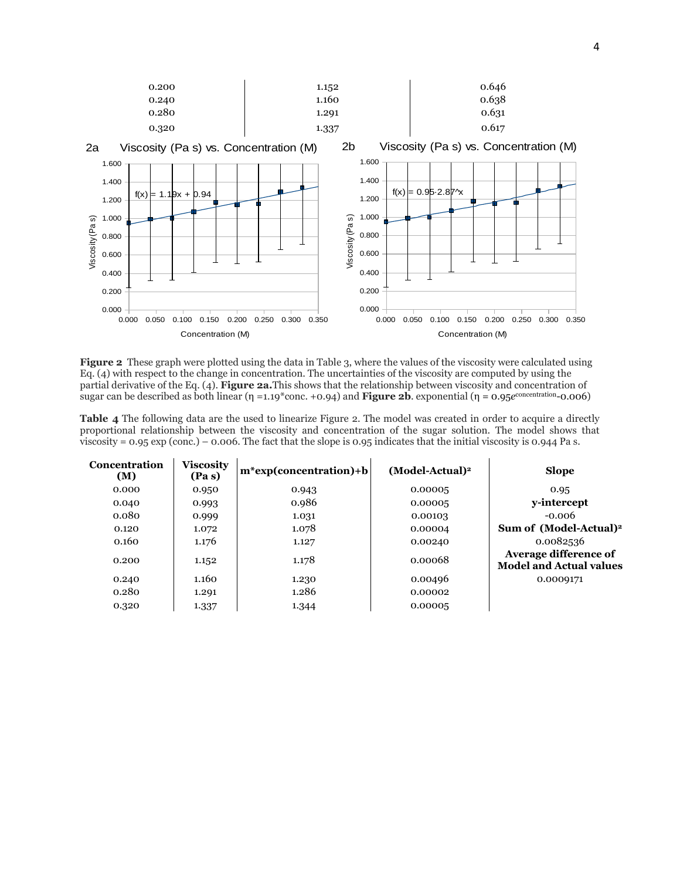

**Figure 2** These graph were plotted using the data in Table 3, where the values of the viscosity were calculated using Eq. (4) with respect to the change in concentration. The uncertainties of the viscosity are computed by using the partial derivative of the Eq. (4). **Figure 2a.**This shows that the relationship between viscosity and concentration of sugar can be described as both linear (η =1.19\*conc. +0.94) and **Figure 2b**. exponential (η = 0.95*e*<sup>concentration<sub>-</sub>0.006)</sup>

**Table 4** The following data are the used to linearize Figure 2. The model was created in order to acquire a directly proportional relationship between the viscosity and concentration of the sugar solution. The model shows that viscosity = 0.95 exp (conc.) – 0.006. The fact that the slope is 0.95 indicates that the initial viscosity is 0.944 Pa s.

| Concentration<br>(M) | <b>Viscosity</b><br>(Pas) | $m*exp(concentration)+b$ | $(Model-Actual)2$ | <b>Slope</b>                                            |
|----------------------|---------------------------|--------------------------|-------------------|---------------------------------------------------------|
| 0.000                | 0.950                     | 0.943                    | 0.00005           | 0.95                                                    |
| 0.040                | 0.993                     | 0.986                    | 0.00005           | y-intercept                                             |
| 0.080                | 0.999                     | 1.031                    | 0.00103           | $-0.006$                                                |
| 0.120                | 1.072                     | 1.078                    | 0.00004           | Sum of (Model-Actual) <sup>2</sup>                      |
| 0.160                | 1.176                     | 1.127                    | 0.00240           | 0.0082536                                               |
| 0.200                | 1.152                     | 1.178                    | 0.00068           | Average difference of<br><b>Model and Actual values</b> |
| 0.240                | 1.160                     | 1.230                    | 0.00496           | 0.0009171                                               |
| 0.280                | 1.291                     | 1.286                    | 0.00002           |                                                         |
| 0.320                | 1.337                     | 1.344                    | 0.00005           |                                                         |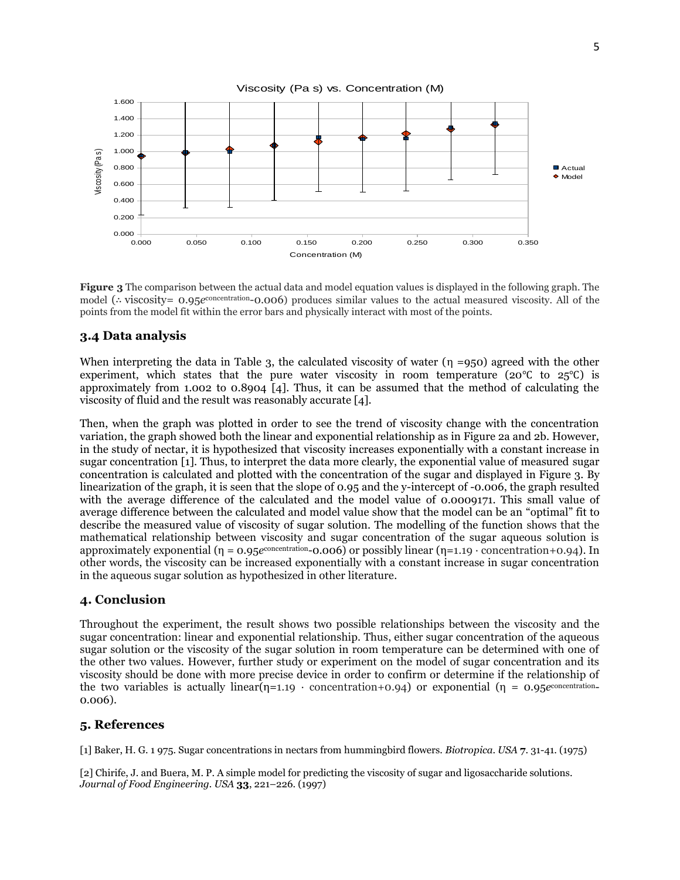

**Figure 3** The comparison between the actual data and model equation values is displayed in the following graph. The model (∴ viscosity= 0.95*e*<sup>concentration</sup>-0.006) produces similar values to the actual measured viscosity. All of the points from the model fit within the error bars and physically interact with most of the points.

# **3.4 Data analysis**

When interpreting the data in Table 3, the calculated viscosity of water  $(\eta = 950)$  agreed with the other experiment, which states that the pure water viscosity in room temperature ( $20^{\circ}$ C to  $25^{\circ}$ C) is approximately from 1.002 to 0.8904 [4]. Thus, it can be assumed that the method of calculating the viscosity of fluid and the result was reasonably accurate [4].

Then, when the graph was plotted in order to see the trend of viscosity change with the concentration variation, the graph showed both the linear and exponential relationship as in Figure 2a and 2b. However, in the study of nectar, it is hypothesized that viscosity increases exponentially with a constant increase in sugar concentration [1]. Thus, to interpret the data more clearly, the exponential value of measured sugar concentration is calculated and plotted with the concentration of the sugar and displayed in Figure 3. By linearization of the graph, it is seen that the slope of 0.95 and the y-intercept of -0.006, the graph resulted with the average difference of the calculated and the model value of 0.0009171. This small value of average difference between the calculated and model value show that the model can be an "optimal" fit to describe the measured value of viscosity of sugar solution. The modelling of the function shows that the mathematical relationship between viscosity and sugar concentration of the sugar aqueous solution is approximately exponential (η = 0.95*e*<sup>concentration</sup>-0.006) or possibly linear (η=1.19 · concentration+0.94). In other words, the viscosity can be increased exponentially with a constant increase in sugar concentration in the aqueous sugar solution as hypothesized in other literature.

## **4. Conclusion**

Throughout the experiment, the result shows two possible relationships between the viscosity and the sugar concentration: linear and exponential relationship. Thus, either sugar concentration of the aqueous sugar solution or the viscosity of the sugar solution in room temperature can be determined with one of the other two values. However, further study or experiment on the model of sugar concentration and its viscosity should be done with more precise device in order to confirm or determine if the relationship of the two variables is actually linear(η=1.19 · concentration+0.94) or exponential (η = 0.95*e*<sup>concentration</sup> 0.006).

# **5. References**

[1] Baker, H. G. 1 975. Sugar concentrations in nectars from hummingbird flowers. *Biotropica*. *USA* **7**. 31-41. (1975)

[2] [Chirife,](http://www.sciencedirect.com/science?_ob=ArticleURL&_udi=B6T8J-3X5HCY5-2H&_user=1022551&_coverDate=07%2F31%2F1999&_rdoc=1&_fmt=high&_orig=search&_sort=d&_docanchor=&view=c&_rerunOrigin=scholar.google&_acct=C000050484&_version=1&_urlVersion=0&_userid=1022551&md5=d92d4b8ce8c5e001ad0c72e8508a6cb0#bbib2) J. and Buera, M. P. A simple model for predicting the viscosity of sugar and ligosaccharide solutions. *Journal of Food Engineering. USA* **33**, 221–226. (1997)